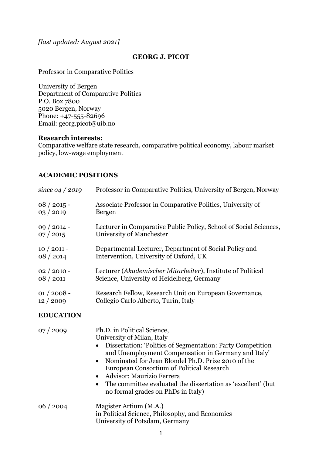*[last updated: August 2021]*

## **GEORG J. PICOT**

Professor in Comparative Politics

University of Bergen Department of Comparative Politics P.O. Box 7800 5020 Bergen, Norway Phone: +47-555-82696 Email: georg.picot@uib.no

#### **Research interests:**

Comparative welfare state research, comparative political economy, labour market policy, low-wage employment

### **ACADEMIC POSITIONS**

| since $04/2019$  | Professor in Comparative Politics, University of Bergen, Norway                                                                                                                                                                                                                                                                                                                                                                                                           |
|------------------|---------------------------------------------------------------------------------------------------------------------------------------------------------------------------------------------------------------------------------------------------------------------------------------------------------------------------------------------------------------------------------------------------------------------------------------------------------------------------|
| $08/2015$ -      | Associate Professor in Comparative Politics, University of                                                                                                                                                                                                                                                                                                                                                                                                                |
| 03/2019          | <b>Bergen</b>                                                                                                                                                                                                                                                                                                                                                                                                                                                             |
| $09/2014 -$      | Lecturer in Comparative Public Policy, School of Social Sciences,                                                                                                                                                                                                                                                                                                                                                                                                         |
| 07/2015          | University of Manchester                                                                                                                                                                                                                                                                                                                                                                                                                                                  |
| $10/2011 -$      | Departmental Lecturer, Department of Social Policy and                                                                                                                                                                                                                                                                                                                                                                                                                    |
| 08/2014          | Intervention, University of Oxford, UK                                                                                                                                                                                                                                                                                                                                                                                                                                    |
| $02/2010 -$      | Lecturer (Akademischer Mitarbeiter), Institute of Political                                                                                                                                                                                                                                                                                                                                                                                                               |
| 08/2011          | Science, University of Heidelberg, Germany                                                                                                                                                                                                                                                                                                                                                                                                                                |
| $01/2008 -$      | Research Fellow, Research Unit on European Governance,                                                                                                                                                                                                                                                                                                                                                                                                                    |
| 12/2009          | Collegio Carlo Alberto, Turin, Italy                                                                                                                                                                                                                                                                                                                                                                                                                                      |
| <b>EDUCATION</b> |                                                                                                                                                                                                                                                                                                                                                                                                                                                                           |
| 07/2009          | Ph.D. in Political Science,<br>University of Milan, Italy<br>Dissertation: 'Politics of Segmentation: Party Competition<br>$\bullet$<br>and Unemployment Compensation in Germany and Italy'<br>Nominated for Jean Blondel Ph.D. Prize 2010 of the<br>$\bullet$<br>European Consortium of Political Research<br>Advisor: Maurizio Ferrera<br>$\bullet$<br>The committee evaluated the dissertation as 'excellent' (but)<br>$\bullet$<br>no formal grades on PhDs in Italy) |
| 06/2004          | Magister Artium (M.A.)<br>in Political Science, Philosophy, and Economics<br>University of Potsdam, Germany                                                                                                                                                                                                                                                                                                                                                               |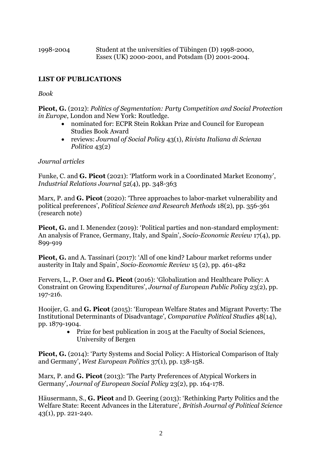| 1998-2004 | Student at the universities of Tübingen (D) 1998-2000, |
|-----------|--------------------------------------------------------|
|           | Essex (UK) 2000-2001, and Potsdam (D) 2001-2004.       |

## **LIST OF PUBLICATIONS**

*Book*

**Picot, G.** (2012): *Politics of Segmentation: Party Competition and Social Protection in Europe*, London and New York: Routledge.

- nominated for: ECPR Stein Rokkan Prize and Council for European Studies Book Award
- reviews: *Journal of Social Policy* 43(1), *Rivista Italiana di Scienza Politica* 43(2)

*Journal articles* 

Funke, C. and **G. Picot** (2021): 'Platform work in a Coordinated Market Economy', *Industrial Relations Journal* 52(4), pp. 348-363

Marx, P. and **G. Picot** (2020): 'Three approaches to labor-market vulnerability and political preferences', *Political Science and Research Methods* 18(2), pp. 356-361 (research note)

**Picot, G.** and I. Menendez (2019): 'Political parties and non-standard employment: An analysis of France, Germany, Italy, and Spain', *Socio-Economic Review* 17(4), pp. 899-919

**Picot, G.** and A. Tassinari (2017): 'All of one kind? Labour market reforms under austerity in Italy and Spain', *Socio-Economic Review* 15 (2), pp. 461-482

Fervers, L., P. Oser and **G. Picot** (2016): 'Globalization and Healthcare Policy: A Constraint on Growing Expenditures', *Journal of European Public Policy* 23(2), pp. 197-216.

Hooijer, G. and **G. Picot** (2015): 'European Welfare States and Migrant Poverty: The Institutional Determinants of Disadvantage', *Comparative Political Studies* 48(14), pp. 1879-1904.

• Prize for best publication in 2015 at the Faculty of Social Sciences, University of Bergen

**Picot, G.** (2014): 'Party Systems and Social Policy: A Historical Comparison of Italy and Germany', *West European Politics* 37(1)*,* pp. 138-158.

Marx, P. and **G. Picot** (2013): 'The Party Preferences of Atypical Workers in Germany', *Journal of European Social Policy* 23(2), pp. 164-178.

Häusermann, S., **G. Picot** and D. Geering (2013): 'Rethinking Party Politics and the Welfare State: Recent Advances in the Literature', *British Journal of Political Science*  43(1), pp. 221-240.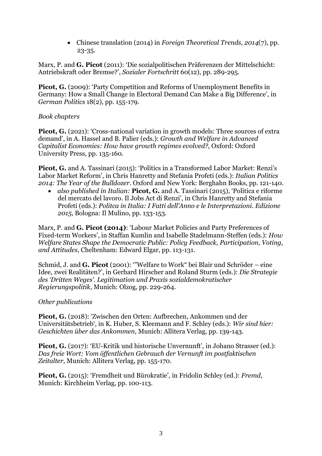• Chinese translation (2014) in *Foreign Theoretical Trends, 2014*(7), pp. 23-35.

Marx, P. and **G. Picot** (2011): 'Die sozialpolitischen Präferenzen der Mittelschicht: Antriebskraft oder Bremse?', *Sozialer Fortschritt* 60(12), pp. 289-295.

**Picot, G.** (2009): 'Party Competition and Reforms of Unemployment Benefits in Germany: How a Small Change in Electoral Demand Can Make a Big Difference', in *German Politics* 18(2), pp. 155-179.

## *Book chapters*

**Picot, G.** (2021): 'Cross-national variation in growth models: Three sources of extra demand', in A. Hassel and B. Palier (eds.): *Growth and Welfare in Advanced Capitalist Economies: How have growth regimes evolved?,* Oxford: Oxford University Press, pp. 135-160.

**Picot, G.** and A. Tassinari (2015): 'Politics in a Transformed Labor Market: Renzi's Labor Market Reform', in Chris Hanretty and Stefania Profeti (eds.): *Italian Politics 2014: The Year of the Bulldozer*. Oxford and New York: Berghahn Books, pp. 121-140.

• *also published in Italian:* **Picot, G.** and A. Tassinari (2015), 'Politica e riforme del mercato del lavoro. Il Jobs Act di Renzi', in Chris Hanretty and Stefania Profeti (eds.): *Politca in Italia: I Fatti dell'Anno e le Interpretazioni. Edizione 2015*, Bologna: Il Mulino, pp. 133-153.

Marx, P. and **G. Picot (2014)**: 'Labour Market Policies and Party Preferences of Fixed-term Workers', in Staffan Kumlin and Isabelle Stadelmann-Steffen (eds.): *How Welfare States Shape the Democratic Public: Policy Feedback, Participation, Voting, and Attitudes*, Cheltenham: Edward Elgar, pp. 113-131.

Schmid, J. and **G. Picot** (2001): '"Welfare to Work" bei Blair und Schröder – eine Idee, zwei Realitäten?', in Gerhard Hirscher and Roland Sturm (eds.): *Die Strategie des 'Dritten Weges'. Legitimation und Praxis sozialdemokratischer Regierungspolitik*, Munich: Olzog, pp. 229-264.

## *Other publications*

**Picot, G.** (2018): 'Zwischen den Orten: Aufbrechen, Ankommen und der Universitätsbetrieb', in K. Huber, S. Kleemann and F. Schley (eds.): *Wir sind hier: Geschichten über das Ankommen*, Munich: Allitera Verlag, pp. 139-143.

Picot, G. (2017): 'EU-Kritik und historische Unvernunft', in Johano Strasser (ed.): *Das freie Wort: Vom öffentlichen Gebrauch der Vernunft im postfaktischen Zeitalter*, Munich: Allitera Verlag, pp. 155-170.

**Picot, G.** (2015): 'Fremdheit und Bürokratie', in Fridolin Schley (ed.): *Fremd*, Munich: Kirchheim Verlag, pp. 100-113.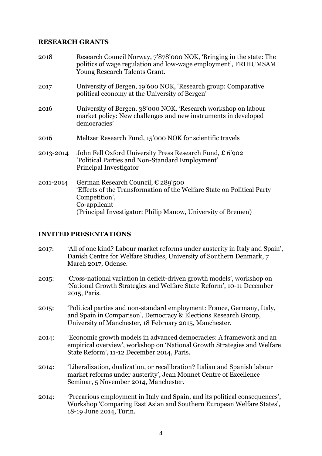#### **RESEARCH GRANTS**

| 2018      | Research Council Norway, 7'878'000 NOK, 'Bringing in the state: The<br>politics of wage regulation and low-wage employment', FRIHUMSAM<br>Young Research Talents Grant.                                                |
|-----------|------------------------------------------------------------------------------------------------------------------------------------------------------------------------------------------------------------------------|
| 2017      | University of Bergen, 19'600 NOK, 'Research group: Comparative<br>political economy at the University of Bergen'                                                                                                       |
| 2016      | University of Bergen, 38'000 NOK, 'Research workshop on labour<br>market policy: New challenges and new instruments in developed<br>democracies'                                                                       |
| 2016      | Meltzer Research Fund, 15'000 NOK for scientific travels                                                                                                                                                               |
| 2013-2014 | John Fell Oxford University Press Research Fund, £ 6'902<br>'Political Parties and Non-Standard Employment'<br>Principal Investigator                                                                                  |
| 2011-2014 | German Research Council, $\epsilon$ 289'500<br>'Effects of the Transformation of the Welfare State on Political Party<br>Competition',<br>Co-applicant<br>(Principal Investigator: Philip Manow, University of Bremen) |

#### **INVITED PRESENTATIONS**

- 2017: 'All of one kind? Labour market reforms under austerity in Italy and Spain', Danish Centre for Welfare Studies, University of Southern Denmark, 7 March 2017, Odense.
- 2015: 'Cross-national variation in deficit-driven growth models', workshop on 'National Growth Strategies and Welfare State Reform', 10-11 December 2015, Paris.
- 2015: 'Political parties and non-standard employment: France, Germany, Italy, and Spain in Comparison', Democracy & Elections Research Group, University of Manchester, 18 February 2015, Manchester.
- 2014: 'Economic growth models in advanced democracies: A framework and an empirical overview', workshop on 'National Growth Strategies and Welfare State Reform', 11-12 December 2014, Paris.
- 2014: 'Liberalization, dualization, or recalibration? Italian and Spanish labour market reforms under austerity', Jean Monnet Centre of Excellence Seminar, 5 November 2014, Manchester.
- 2014: 'Precarious employment in Italy and Spain, and its political consequences', Workshop 'Comparing East Asian and Southern European Welfare States', 18-19 June 2014, Turin.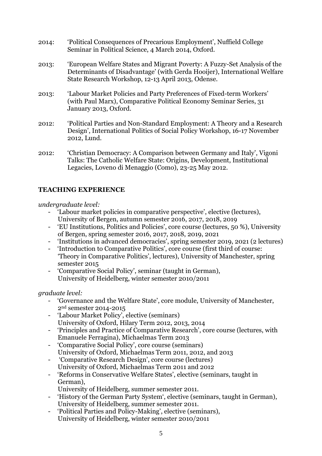- 2014: 'Political Consequences of Precarious Employment', Nuffield College Seminar in Political Science, 4 March 2014, Oxford.
- 2013: 'European Welfare States and Migrant Poverty: A Fuzzy-Set Analysis of the Determinants of Disadvantage' (with Gerda Hooijer), International Welfare State Research Workshop, 12-13 April 2013, Odense.
- 2013: 'Labour Market Policies and Party Preferences of Fixed-term Workers' (with Paul Marx), Comparative Political Economy Seminar Series, 31 January 2013, Oxford.
- 2012: 'Political Parties and Non-Standard Employment: A Theory and a Research Design', International Politics of Social Policy Workshop, 16-17 November 2012, Lund.
- 2012: 'Christian Democracy: A Comparison between Germany and Italy', Vigoni Talks: The Catholic Welfare State: Origins, Development, Institutional Legacies, Loveno di Menaggio (Como), 23-25 May 2012.

## **TEACHING EXPERIENCE**

### *undergraduate level:*

- 'Labour market policies in comparative perspective', elective (lectures), University of Bergen, autumn semester 2016, 2017, 2018, 2019
- 'EU Institutions, Politics and Policies', core course (lectures, 50 %), University of Bergen, spring semester 2016, 2017, 2018, 2019, 2021
- 'Institutions in advanced democracies', spring semester 2019, 2021 (2 lectures)
- 'Introduction to Comparative Politics', core course (first third of course: 'Theory in Comparative Politics', lectures), University of Manchester, spring semester 2015
- 'Comparative Social Policy', seminar (taught in German), University of Heidelberg, winter semester 2010/2011

#### *graduate level:*

- 'Governance and the Welfare State', core module, University of Manchester, 2nd semester 2014-2015
- 'Labour Market Policy', elective (seminars) University of Oxford, Hilary Term 2012, 2013, 2014
- 'Principles and Practice of Comparative Research', core course (lectures, with Emanuele Ferragina), Michaelmas Term 2013
- 'Comparative Social Policy', core course (seminars) University of Oxford, Michaelmas Term 2011, 2012, and 2013
- 'Comparative Research Design', core course (lectures) University of Oxford, Michaelmas Term 2011 and 2012
- 'Reforms in Conservative Welfare States', elective (seminars, taught in German),
	- University of Heidelberg, summer semester 2011.
- 'History of the German Party System', elective (seminars, taught in German), University of Heidelberg, summer semester 2011.
- 'Political Parties and Policy-Making', elective (seminars), University of Heidelberg, winter semester 2010/2011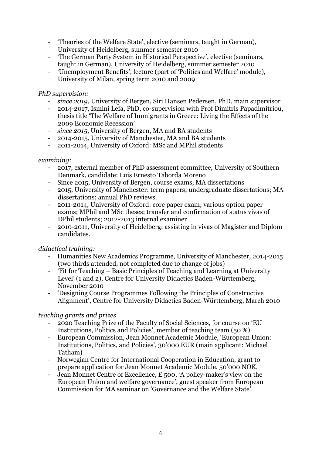- 'Theories of the Welfare State', elective (seminars, taught in German), University of Heidelberg, summer semester 2010
- 'The German Party System in Historical Perspective', elective (seminars, taught in German), University of Heidelberg, summer semester 2010
- 'Unemployment Benefits', lecture (part of 'Politics and Welfare' module), University of Milan, spring term 2010 and 2009

## *PhD supervision:*

- *since 2019*, University of Bergen, Siri Hansen Pedersen, PhD, main supervisor
- 2014-2017, Ismini Lefa, PhD, co-supervision with Prof Dimitris Papadimitriou, thesis title 'The Welfare of Immigrants in Greece: Living the Effects of the 2009 Economic Recession'
- *since 2015*, University of Bergen, MA and BA students
- 2014-2015, University of Manchester, MA and BA students
- 2011-2014, University of Oxford: MSc and MPhil students

#### *examining:*

- 2017, external member of PhD assessment committee, University of Southern Denmark, candidate: Luis Ernesto Taborda Moreno
- Since 2015, University of Bergen, course exams, MA dissertations
- 2015, University of Manchester: term papers; undergraduate dissertations; MA dissertations; annual PhD reviews.
- 2011-2014, University of Oxford: core paper exam; various option paper exams; MPhil and MSc theses; transfer and confirmation of status vivas of DPhil students; 2012-2013 internal examiner
- 2010-2011, University of Heidelberg: assisting in vivas of Magister and Diplom candidates.

#### *didactical training:*

- Humanities New Academics Programme, University of Manchester, 2014-2015 (two thirds attended, not completed due to change of jobs)
- 'Fit for Teaching Basic Principles of Teaching and Learning at University Level' (1 and 2), Centre for University Didactics Baden-Württemberg, November 2010
- 'Designing Course Programmes Following the Principles of Constructive Alignment', Centre for University Didactics Baden-Württemberg, March 2010

#### *teaching grants and prizes*

- 2020 Teaching Prize of the Faculty of Social Sciences, for course on 'EU Institutions, Politics and Policies', member of teaching team (50 %)
- European Commission, Jean Monnet Academic Module, 'European Union: Institutions, Politics, and Policies', 30'000 EUR (main applicant: Michael Tatham)
- Norwegian Centre for International Cooperation in Education, grant to prepare application for Jean Monnet Academic Module, 50'000 NOK.
- Jean Monnet Centre of Excellence, £ 500, 'A policy-maker's view on the European Union and welfare governance', guest speaker from European Commission for MA seminar on 'Governance and the Welfare State'.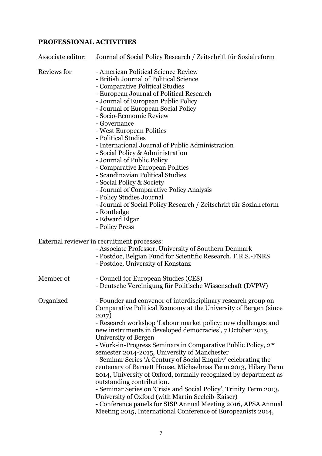# **PROFESSIONAL ACTIVITIES**

| Associate editor: | Journal of Social Policy Research / Zeitschrift für Sozialreform                                                                                                                                                                                                                                                                                                                                                                                                                                                                                                                                                                                                                                                                                                                                                                                                                                                   |
|-------------------|--------------------------------------------------------------------------------------------------------------------------------------------------------------------------------------------------------------------------------------------------------------------------------------------------------------------------------------------------------------------------------------------------------------------------------------------------------------------------------------------------------------------------------------------------------------------------------------------------------------------------------------------------------------------------------------------------------------------------------------------------------------------------------------------------------------------------------------------------------------------------------------------------------------------|
| Reviews for       | - American Political Science Review<br>- British Journal of Political Science<br>- Comparative Political Studies<br>- European Journal of Political Research<br>- Journal of European Public Policy<br>- Journal of European Social Policy<br>- Socio-Economic Review<br>- Governance<br>- West European Politics<br>- Political Studies<br>- International Journal of Public Administration<br>- Social Policy & Administration<br>- Journal of Public Policy<br>- Comparative European Politics<br>- Scandinavian Political Studies<br>- Social Policy & Society<br>- Journal of Comparative Policy Analysis<br>- Policy Studies Journal<br>- Journal of Social Policy Research / Zeitschrift für Sozialreform<br>- Routledge<br>- Edward Elgar<br>- Policy Press                                                                                                                                                |
|                   | External reviewer in recruitment processes:<br>- Associate Professor, University of Southern Denmark<br>- Postdoc, Belgian Fund for Scientific Research, F.R.S.-FNRS<br>- Postdoc, University of Konstanz                                                                                                                                                                                                                                                                                                                                                                                                                                                                                                                                                                                                                                                                                                          |
| Member of         | - Council for European Studies (CES)<br>- Deutsche Vereinigung für Politische Wissenschaft (DVPW)                                                                                                                                                                                                                                                                                                                                                                                                                                                                                                                                                                                                                                                                                                                                                                                                                  |
| Organized         | - Founder and convenor of interdisciplinary research group on<br>Comparative Political Economy at the University of Bergen (since<br>2017)<br>- Research workshop 'Labour market policy: new challenges and<br>new instruments in developed democracies', 7 October 2015,<br>University of Bergen<br>- Work-in-Progress Seminars in Comparative Public Policy, 2nd<br>semester 2014-2015, University of Manchester<br>- Seminar Series 'A Century of Social Enquiry' celebrating the<br>centenary of Barnett House, Michaelmas Term 2013, Hilary Term<br>2014, University of Oxford, formally recognized by department as<br>outstanding contribution.<br>- Seminar Series on 'Crisis and Social Policy', Trinity Term 2013,<br>University of Oxford (with Martin Seeleib-Kaiser)<br>- Conference panels for SISP Annual Meeting 2016, APSA Annual<br>Meeting 2015, International Conference of Europeanists 2014, |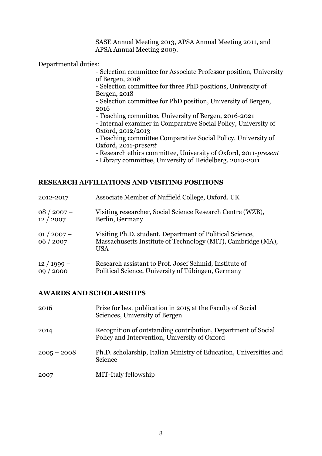SASE Annual Meeting 2013, APSA Annual Meeting 2011, and APSA Annual Meeting 2009.

Departmental duties:

- Selection committee for Associate Professor position, University of Bergen, 2018

- Selection committee for three PhD positions, University of Bergen, 2018

- Selection committee for PhD position, University of Bergen, 2016

- Teaching committee, University of Bergen, 2016-2021

- Internal examiner in Comparative Social Policy, University of Oxford, 2012/2013

- Teaching committee Comparative Social Policy, University of Oxford, 2011-*present*

- Research ethics committee, University of Oxford, 2011-*present*
- Library committee, University of Heidelberg, 2010-2011

#### **RESEARCH AFFILIATIONS AND VISITING POSITIONS**

| 2012-2017             | Associate Member of Nuffield College, Oxford, UK                                                                                |
|-----------------------|---------------------------------------------------------------------------------------------------------------------------------|
| $08/2007-$            | Visiting researcher, Social Science Research Centre (WZB),                                                                      |
| 12/2007               | Berlin, Germany                                                                                                                 |
| $01/2007-$<br>06/2007 | Visiting Ph.D. student, Department of Political Science,<br>Massachusetts Institute of Technology (MIT), Cambridge (MA),<br>USA |
| $12/1999-$            | Research assistant to Prof. Josef Schmid, Institute of                                                                          |
| 09 / 2000             | Political Science, University of Tübingen, Germany                                                                              |

#### **AWARDS AND SCHOLARSHIPS**

| 2016          | Prize for best publication in 2015 at the Faculty of Social<br>Sciences, University of Bergen                  |
|---------------|----------------------------------------------------------------------------------------------------------------|
| 2014          | Recognition of outstanding contribution, Department of Social<br>Policy and Intervention, University of Oxford |
| $2005 - 2008$ | Ph.D. scholarship, Italian Ministry of Education, Universities and<br>Science                                  |
| 2007          | MIT-Italy fellowship                                                                                           |